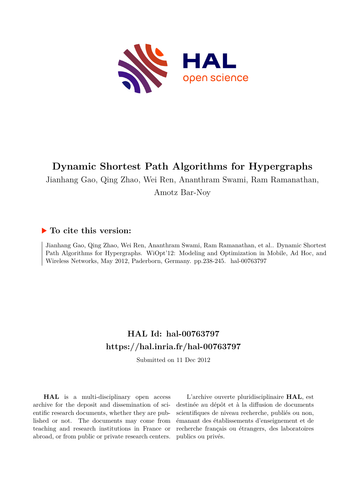

# **Dynamic Shortest Path Algorithms for Hypergraphs**

Jianhang Gao, Qing Zhao, Wei Ren, Ananthram Swami, Ram Ramanathan,

Amotz Bar-Noy

## **To cite this version:**

Jianhang Gao, Qing Zhao, Wei Ren, Ananthram Swami, Ram Ramanathan, et al.. Dynamic Shortest Path Algorithms for Hypergraphs. WiOpt'12: Modeling and Optimization in Mobile, Ad Hoc, and Wireless Networks, May 2012, Paderborn, Germany. pp.238-245. hal-00763797

## **HAL Id: hal-00763797 <https://hal.inria.fr/hal-00763797>**

Submitted on 11 Dec 2012

**HAL** is a multi-disciplinary open access archive for the deposit and dissemination of scientific research documents, whether they are published or not. The documents may come from teaching and research institutions in France or abroad, or from public or private research centers.

L'archive ouverte pluridisciplinaire **HAL**, est destinée au dépôt et à la diffusion de documents scientifiques de niveau recherche, publiés ou non, émanant des établissements d'enseignement et de recherche français ou étrangers, des laboratoires publics ou privés.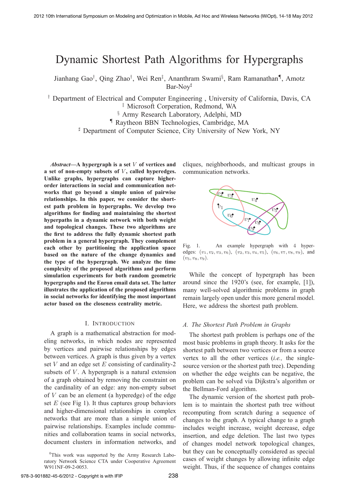## Dynamic Shortest Path Algorithms for Hypergraphs

Jianhang Gao† , Qing Zhao† , Wei Ren‡ , Ananthram Swami§ , Ram Ramanathan¶, Amotz Bar-Noy<sup>#</sup>

† Department of Electrical and Computer Engineering , University of California, Davis, CA ‡ Microsoft Corperation, Redmond, WA

§ Army Research Laboratory, Adelphi, MD

¶ Raytheon BBN Technologies, Cambridge, MA

- Department of Computer Science, City University of New York, NY

*Abstract***—A hypergraph is a set** V **of vertices and** a set of non-empty subsets of V, called hyperedges. **Unlike graphs, hypergraphs can capture higherorder interactions in social and communication networks that go beyond a simple union of pairwise relationships. In this paper, we consider the shortest path problem in hypergraphs. We develop two algorithms for finding and maintaining the shortest hyperpaths in a dynamic network with both weight and topological changes. These two algorithms are the first to address the fully dynamic shortest path problem in a general hypergraph. They complement each other by partitioning the application space based on the nature of the change dynamics and the type of the hypergraph. We analyze the time complexity of the proposed algorithms and perform simulation experiments for both random geometric hypergraphs and the Enron email data set. The latter illustrates the application of the proposed algorithms in social networks for identifying the most important actor based on the closeness centrality metric.**

#### I. INTRODUCTION

A graph is a mathematical abstraction for modeling networks, in which nodes are represented by vertices and pairwise relationships by edges between vertices. A graph is thus given by a vertex set  $V$  and an edge set  $E$  consisting of cardinality-2 subsets of  $V$ . A hypergraph is a natural extension of a graph obtained by removing the constraint on the cardinality of an edge: any non-empty subset of  $V$  can be an element (a hyperedge) of the edge set  $E$  (see Fig 1). It thus captures group behaviors and higher-dimensional relationships in complex networks that are more than a simple union of pairwise relationships. Examples include communities and collaboration teams in social networks, document clusters in information networks, and

<sup>0</sup>This work was supported by the Army Research Laboratory Network Science CTA under Cooperative Agreement W911NF-09-2-0053.

cliques, neighborhoods, and multicast groups in communication networks.



Fig. 1. An example hypergraph with 4 hyperedges:  $(v_1, v_2, v_3, v_6)$ ,  $(v_2, v_3, v_4, v_5)$ ,  $(v_6, v_7, v_8, v_9)$ , and  $(v_5, v_8, v_9).$ 

While the concept of hypergraph has been around since the 1920's (see, for example, [1]), many well-solved algorithmic problems in graph remain largely open under this more general model. Here, we address the shortest path problem.

#### *A. The Shortest Path Problem in Graphs*

The shortest path problem is perhaps one of the most basic problems in graph theory. It asks for the shortest path between two vertices or from a source vertex to all the other vertices (*i.e.,* the singlesource version or the shortest path tree). Depending on whether the edge weights can be negative, the problem can be solved via Dijkstra's algorithm or the Bellman-Ford algorithm.

The dynamic version of the shortest path problem is to maintain the shortest path tree without recomputing from scratch during a sequence of changes to the graph. A typical change to a graph includes weight increase, weight decrease, edge insertion, and edge deletion. The last two types of changes model network topological changes, but they can be conceptually considered as special cases of weight changes by allowing infinite edge weight. Thus, if the sequence of changes contains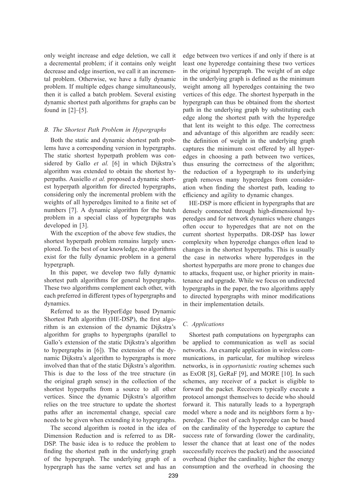only weight increase and edge deletion, we call it a decremental problem; if it contains only weight decrease and edge insertion, we call it an incremental problem. Otherwise, we have a fully dynamic problem. If multiple edges change simultaneously, then it is called a batch problem. Several existing dynamic shortest path algorithms for graphs can be found in [2]–[5].

### *B. The Shortest Path Problem in Hypergraphs*

Both the static and dynamic shortest path problems have a corresponding version in hypergraphs. The static shortest hyperpath problem was considered by Gallo *et al.* [6] in which Dijkstra's algorithm was extended to obtain the shortest hyperpaths. Ausiello *et al.* proposed a dynamic shortest hyperpath algorithm for directed hypergraphs, considering only the incremental problem with the weights of all hyperedges limited to a finite set of numbers [7]. A dynamic algorithm for the batch problem in a special class of hypergraphs was developed in [3].

With the exception of the above few studies, the shortest hyperpath problem remains largely unexplored. To the best of our knowledge, no algorithms exist for the fully dynamic problem in a general hypergraph.

In this paper, we develop two fully dynamic shortest path algorithms for general hypergraphs. These two algorithms complement each other, with each preferred in different types of hypergraphs and dynamics.

Referred to as the HyperEdge based Dynamic Shortest Path algorithm (HE-DSP), the first algorithm is an extension of the dynamic Dijkstra's algorithm for graphs to hypergraphs (parallel to Gallo's extension of the static Dijkstra's algorithm to hypergraphs in [6]). The extension of the dynamic Dijkstra's algorithm to hypergraphs is more involved than that of the static Dijkstra's algorithm. This is due to the loss of the tree structure (in the original graph sense) in the collection of the shortest hyperpaths from a source to all other vertices. Since the dynamic Dijkstra's algorithm relies on the tree structure to update the shortest paths after an incremental change, special care needs to be given when extending it to hypergraphs.

The second algorithm is rooted in the idea of Dimension Reduction and is referred to as DR-DSP. The basic idea is to reduce the problem to finding the shortest path in the underlying graph of the hypergraph. The underlying graph of a hypergraph has the same vertex set and has an edge between two vertices if and only if there is at least one hyperedge containing these two vertices in the original hypergraph. The weight of an edge in the underlying graph is defined as the minimum weight among all hyperedges containing the two vertices of this edge. The shortest hyperpath in the hypergraph can thus be obtained from the shortest path in the underlying graph by substituting each edge along the shortest path with the hyperedge that lent its weight to this edge. The correctness and advantage of this algorithm are readily seen: the definition of weight in the underlying graph captures the minimum cost offered by all hyperedges in choosing a path between two vertices, thus ensuring the correctness of the algorithm; the reduction of a hypergraph to its underlying graph removes many hyperedges from consideration when finding the shortest path, leading to efficiency and agility to dynamic changes.

HE-DSP is more efficient in hypergraphs that are densely connected through high-dimensional hyperedges and for network dynamics where changes often occur to hyperedges that are not on the current shortest hyperpaths. DR-DSP has lower complexity when hyperedge changes often lead to changes in the shortest hyperpaths. This is usually the case in networks where hyperedges in the shortest hyperpaths are more prone to changes due to attacks, frequent use, or higher priority in maintenance and upgrade. While we focus on undirected hypergraphs in the paper, the two algorithms apply to directed hypergraphs with minor modifications in their implementation details.

## *C. Applications*

Shortest path computations on hypergraphs can be applied to communication as well as social networks. An example application in wireless communications, in particular, for multihop wireless networks, is in *opportunistic routing* schemes such as ExOR [8], GeRaF [9], and MORE [10]. In such schemes, any receiver of a packet is eligible to forward the packet. Receivers typically execute a protocol amongst themselves to decide who should forward it. This naturally leads to a hypergraph model where a node and its neighbors form a hyperedge. The cost of each hyperedge can be based on the cardinality of the hyperedge to capture the success rate of forwarding (lower the cardinality, lesser the chance that at least one of the nodes successfully receives the packet) and the associated overhead (higher the cardinality, higher the energy consumption and the overhead in choosing the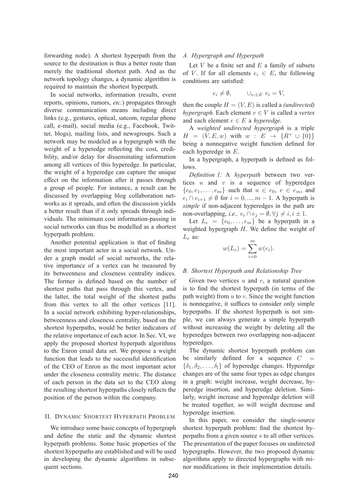forwarding node). A shortest hyperpath from the source to the destination is thus a better route than merely the traditional shortest path. And as the network topology changes, a dynamic algorithm is required to maintain the shortest hyperpath.

In social networks, information (results, event reports, opinions, rumors, *etc.*) propagates through diverse communication means including direct links (e.g., gestures, optical, satcom, regular phone call, e-mail), social media (e.g., Facebook, Twitter, blogs), mailing lists, and newsgroups. Such a network may be modeled as a hypergraph with the weight of a hyperedge reflecting the cost, credibility, and/or delay for disseminating information among all vertices of this hyperedge. In particular, the weight of a hyperedge can capture the unique effect on the information after it passes through a group of people. For instance, a result can be discussed by overlapping blog collaboration networks as it spreads, and often the discussion yields a better result than if it only spreads through individuals. The minimum cost information-passing in social networks can thus be modelled as a shortest hyperpath problem.

Another potential application is that of finding the most important actor in a social network. Under a graph model of social networks, the relative importance of a vertex can be measured by its betweenness and closeness centrality indices. The former is defined based on the number of shortest paths that pass through this vertex, and the latter, the total weight of the shortest paths from this vertex to all the other vertices [11]. In a social network exhibiting hyper-relationships, betweenness and closeness centrality, based on the shortest hyperpaths, would be better indicators of the relative importance of each actor. In Sec. VI, we apply the proposed shortest hyperpath algorithms to the Enron email data set. We propose a weight function that leads to the successful identification of the CEO of Enron as the most important actor under the closeness centrality metric. The distance of each person in the data set to the CEO along the resulting shortest hyperpaths closely reflects the position of the person within the company.

#### II. DYNAMIC SHORTEST HYPERPATH PROBLEM

We introduce some basic concepts of hypergraph and define the static and the dynamic shortest hyperpath problems. Some basic properties of the shortest hyperpaths are established and will be used in developing the dynamic algorithms in subsequent sections.

## *A. Hypergraph and Hyperpath*

Let  $V$  be a finite set and  $E$  a family of subsets of V. If for all elements  $e_i \in E$ , the following conditions are satisfied:

$$
e_i \neq \emptyset, \qquad \cup_{e_i \in E} e_i = V,
$$

then the couple  $H = (V, E)$  is called a *(undirected) hypergraph*. Each element  $v \in V$  is called a *vertex* and each element  $e \in E$  a *hyperedge*.

A *weighted undirected hypergraph* is a triple  $H = (V, E, w)$  with  $w : E \to \{R^+ \cup \{0\}\}\$ being a nonnegative weight function defined for each hyperedge in E.

In a hypergraph, a hyperpath is defined as follows.

*Definition 1:* A *hyperpath* between two vertices  $u$  and  $v$  is a sequence of hyperedges  ${e_0, e_1, \ldots, e_m}$  such that  $u \in e_0, v \in e_m$ , and  $e_i \cap e_{i+1} \neq \emptyset$  for  $i = 0, ..., m-1$ . A hyperpath is *simple* if non-adjacent hyperedges in the path are non-overlapping, *i.e.*,  $e_i \cap e_j = \emptyset, \forall j \neq i, i \pm 1$ .

Let  $L_e = \{e_0, \ldots, e_m\}$  be a hyperpath in a weighted hypergraph H. We define the weight of  $L_e$  as:

$$
w(L_e) = \sum_{i=0}^{m} w(e_i).
$$

#### *B. Shortest Hyperpath and Relationship Tree*

Given two vertices  $u$  and  $v$ , a natural question is to find the shortest hyperpath (in terms of the path weight) from  $u$  to  $v$ . Since the weight function is nonnegative, it suffices to consider only simple hyperpaths. If the shortest hyperpath is not simple, we can always generate a simple hyperpath without increasing the weight by deleting all the hyperedges between two overlapping non-adjacent hyperedges.

The dynamic shortest hyperpath problem can be similarly defined for a sequence  $C$  $\{\delta_1, \delta_2, \ldots, \delta_l\}$  of hyperedge changes. Hyperedge changes are of the same four types as edge changes in a graph: weight increase, weight decrease, hyperedge insertion, and hyperedge deletion. Similarly, weight increase and hyperedge deletion will be treated together, so will weight decrease and hyperedge insertion.

In this paper, we consider the single-source shortest hyperpath problem: find the shortest hyperpaths from a given source s to all other vertices. The presentation of the paper focuses on undirected hypergraphs. However, the two proposed dynamic algorithms apply to directed hypergraphs with minor modifications in their implementation details.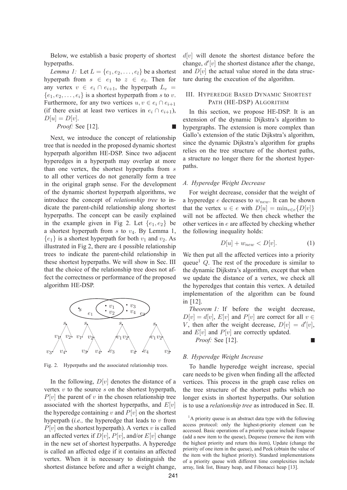Below, we establish a basic property of shortest hyperpaths.

*Lemma 1:* Let  $L = \{e_1, e_2, \ldots, e_l\}$  be a shortest hyperpath from  $s \in e_1$  to  $z \in e_l$ . Then for any vertex  $v \in e_i \cap e_{i+1}$ , the hyperpath  $L_v$  =  ${e_1, e_2, \ldots, e_i}$  is a shortest hyperpath from s to v. Furthermore, for any two vertices  $u, v \in e_i \cap e_{i+1}$ (if there exist at least two vertices in  $e_i \cap e_{i+1}$ ),  $D[u] = D[v].$ T.

*Proof:* See [12].

Next, we introduce the concept of relationship tree that is needed in the proposed dynamic shortest hyperpath algorithm HE-DSP. Since two adjacent hyperedges in a hyperpath may overlap at more than one vertex, the shortest hyperpaths from s to all other vertices do not generally form a tree in the original graph sense. For the development of the dynamic shortest hyperpath algorithms, we introduce the concept of *relationship tree* to indicate the parent-child relationship along shortest hyperpaths. The concept can be easily explained in the example given in Fig 2. Let  $\{e_1, e_2\}$  be a shortest hyperpath from  $s$  to  $v_4$ . By Lemma 1,  ${e_1}$  is a shortest hyperpath for both  $v_1$  and  $v_2$ . As illustrated in Fig 2, there are 4 possible relationship trees to indicate the parent-child relationship in these shortest hyperpaths. We will show in Sec. III that the choice of the relationship tree does not affect the correctness or performance of the proposed algorithm HE-DSP.



Fig. 2. Hyperpaths and the associated relationship trees.

In the following,  $D[v]$  denotes the distance of a vertex  $v$  to the source  $s$  on the shortest hyperpath,  $P[v]$  the parent of v in the chosen relationship tree associated with the shortest hyperpaths, and  $E[v]$ the hyperedge containing v and  $P[v]$  on the shortest hyperpath (*i.e.*, the hyperedge that leads to  $v$  from  $P[v]$  on the shortest hyperpath). A vertex v is called an affected vertex if  $D[v]$ ,  $P[v]$ , and/or  $E[v]$  change in the new set of shortest hyperpaths. A hyperedge is called an affected edge if it contains an affected vertex. When it is necessary to distinguish the shortest distance before and after a weight change,  $d[v]$  will denote the shortest distance before the change,  $d'[v]$  the shortest distance after the change,<br>and  $D[v]$  the actual value stored in the data strucand  $D[v]$  the actual value stored in the data structure during the execution of the algorithm.

### III. HYPEREDGE BASED DYNAMIC SHORTEST PATH (HE-DSP) ALGORITHM

In this section, we propose HE-DSP. It is an extension of the dynamic Dijkstra's algorithm to hypergraphs. The extension is more complex than Gallo's extension of the static Dijkstra's algorithm, since the dynamic Dijkstra's algorithm for graphs relies on the tree structure of the shortest paths, a structure no longer there for the shortest hyperpaths.

#### *A. Hyperedge Weight Decrease*

For weight decrease, consider that the weight of a hyperedge  $e$  decreases to  $w_{new}$ . It can be shown that the vertex  $u \in e$  with  $D[u] = \min_{v \in e} {D[v]}$ will not be affected. We then check whether the other vertices in e are affected by checking whether the following inequality holds:

$$
D[u] + w_{new} < D[v].\tag{1}
$$

We then put all the affected vertices into a priority queue<sup>1</sup>  $Q$ . The rest of the procedure is similar to the dynamic Dijkstra's algorithm, except that when we update the distance of a vertex, we check all the hyperedges that contain this vertex. A detailed implementation of the algorithm can be found in [12].

*Theorem 1:* If before the weight decrease,  $D[v] = d[v]$ ,  $E[v]$  and  $P[v]$  are correct for all  $v \in$ V, then after the weight decrease,  $D[v] = d'[v]$ ,<br>and  $E[v]$  and  $P[v]$  are correctly undated and  $E[v]$  and  $P[v]$  are correctly updated.

*Proof:* See [12].

#### г

#### *B. Hyperedge Weight Increase*

To handle hyperedge weight increase, special care needs to be given when finding all the affected vertices. This process in the graph case relies on the tree structure of the shortest paths which no longer exists in shortest hyperpaths. Our solution is to use a *relationship tree* as introduced in Sec. II.

<sup>1</sup>A priority queue is an abstract data type with the following access protocol: only the highest-priority element can be accessed. Basic operations of a priority queue include Enqueue (add a new item to the queue), Dequeue (remove the item with the highest priority and return this item), Update (change the priority of one item in the queue), and Peek (obtain the value of the item with the highest priority). Standard implementations of a priority queue with different time complexities include array, link list, Binary heap, and Fibonacci heap [13].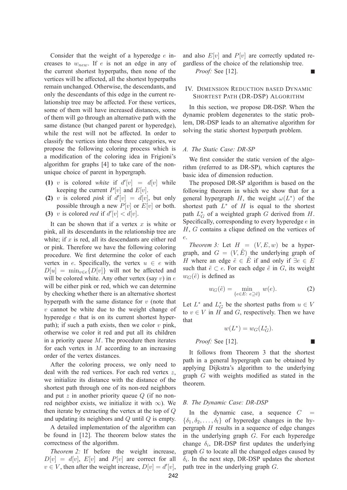Consider that the weight of a hyperedge  $e$  increases to  $w_{new}$ . If e is not an edge in any of the current shortest hyperpaths, then none of the vertices will be affected, all the shortest hyperpaths remain unchanged. Otherwise, the descendants, and only the descendants of this edge in the current relationship tree may be affected. For these vertices, some of them will have increased distances, some of them will go through an alternative path with the same distance (but changed parent or hyperedge), while the rest will not be affected. In order to classify the vertices into these three categories, we propose the following coloring process which is a modification of the coloring idea in Frigioni's algorithm for graphs [4] to take care of the nonunique choice of parent in hypergraph.

- **(1)** v is colored *white* if  $d'[v] = d[v]$  while<br>keeping the current  $P[v]$  and  $F[v]$ keeping the current  $P[v]$  and  $E[v]$ .
- (2) v is colored *pink* if  $d'[v] = d[v]$ , but only<br>possible through a new  $P[v]$  or  $F[v]$  or both possible through a new  $P[v]$  or  $E[v]$  or both.
- (3) v is colored *red* if  $d'[v] < d[v]$ .

It can be shown that if a vertex  $x$  is white or pink, all its descendants in the relationship tree are white; if  $x$  is red, all its descendants are either red or pink. Therefore we have the following coloring procedure. We first determine the color of each vertex in e. Specifically, the vertex  $u \in e$  with  $D[u] = \min_{v \in e} {D[v]}$  will not be affected and will be colored white. Any other vertex (say  $v$ ) in  $e$ will be either pink or red, which we can determine by checking whether there is an alternative shortest hyperpath with the same distance for  $v$  (note that  $v$  cannot be white due to the weight change of hyperedge e that is on its current shortest hyperpath); if such a path exists, then we color  $v$  pink, otherwise we color it red and put all its children in a priority queue  $M$ . The procedure then iterates for each vertex in  $M$  according to an increasing order of the vertex distances.

After the coloring process, we only need to deal with the red vertices. For each red vertex  $z$ , we initialize its distance with the distance of the shortest path through one of its non-red neighbors and put  $z$  in another priority queue  $Q$  (if no nonred neighbor exists, we initialize it with  $\infty$ ). We then iterate by extracting the vertex at the top of Q and updating its neighbors and Q until Q is empty.

A detailed implementation of the algorithm can be found in [12]. The theorem below states the correctness of the algorithm.

*Theorem 2:* If before the weight increase,  $D[v] = d[v]$ ,  $E[v]$  and  $P[v]$  are correct for all  $v \in V$ , then after the weight increase,  $D[v] = d'[v]$ , and also  $E[v]$  and  $P[v]$  are correctly updated regardless of the choice of the relationship tree.

**The State** 

П

*Proof:* See [12].

## IV. DIMENSION REDUCTION BASED DYNAMIC SHORTEST PATH (DR-DSP) ALGORITHM

In this section, we propose DR-DSP. When the dynamic problem degenerates to the static problem, DR-DSP leads to an alternative algorithm for solving the static shortest hyperpath problem.

#### *A. The Static Case: DR-SP*

We first consider the static version of the algorithm (referred to as DR-SP), which captures the basic idea of dimension reduction.

The proposed DR-SP algorithm is based on the following theorem in which we show that for a general hypergraph H, the weight  $\omega(L^*)$  of the shortest path  $L^*$  of H is equal to the shortest path  $L_G^*$  of a weighted graph  $G$  derived from  $H$ . Specifically, corresponding to every hyperedge e in H, G contains a clique defined on the vertices of e.

*Theorem 3:* Let  $H = (V, E, w)$  be a hypergraph, and  $G = (V, \tilde{E})$  the underlying graph of H where an edge  $\tilde{e} \in \tilde{E}$  if and only if  $\exists e \in E$ such that  $\tilde{e} \subset e$ . For each edge  $\tilde{e}$  in G, its weight  $w_G(\tilde{e})$  is defined as

$$
w_G(\tilde{e}) = \min_{\{e \in E: e \supseteq \tilde{e}\}} w(e). \tag{2}
$$

Let  $L^*$  and  $L_G^*$  be the shortest paths from  $u \in V$ to  $v \in V$  in H and G, respectively. Then we have that

$$
w(L^*) = w_G(L_G^*).
$$
  
*Proof:* See [12].

It follows from Theorem 3 that the shortest path in a general hypergraph can be obtained by applying Dijkstra's algorithm to the underlying graph G with weights modified as stated in the theorem.

#### *B. The Dynamic Case: DR-DSP*

In the dynamic case, a sequence  $C =$  $\{\delta_1, \delta_2, \ldots, \delta_l\}$  of hyperedge changes in the hypergraph  $H$  results in a sequence of edge changes in the underlying graph G. For each hyperedge change  $\delta_i$ , DR-DSP first updates the underlying graph G to locate all the changed edges caused by  $\delta_i$ . In the next step, DR-DSP updates the shortest path tree in the underlying graph G.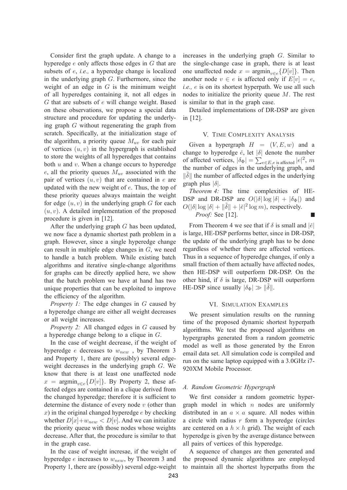Consider first the graph update. A change to a hyperedge e only affects those edges in G that are subsets of e, *i.e.,* a hyperedge change is localized in the underlying graph G. Furthermore, since the weight of an edge in  $G$  is the minimum weight of all hyperedges containing it, not all edges in G that are subsets of e will change weight. Based on these observations, we propose a special data structure and procedure for updating the underlying graph G without regenerating the graph from scratch. Specifically, at the initialization stage of the algorithm, a priority queue  $M_{uv}$  for each pair of vertices  $(u, v)$  in the hypergraph is established to store the weights of all hyperedges that contains both  $u$  and  $v$ . When a change occurs to hyperedge e, all the priority queues  $M_{uv}$  associated with the pair of vertices  $(u, v)$  that are contained in e are updated with the new weight of e. Thus, the top of these priority queues always maintain the weight for edge  $(u, v)$  in the underlying graph G for each  $(u, v)$ . A detailed implementation of the proposed procedure is given in [12].

After the underlying graph G has been updated, we now face a dynamic shortest path problem in a graph. However, since a single hyperedge change can result in multiple edge changes in G, we need to handle a batch problem. While existing batch algorithms and iterative single-change algorithms for graphs can be directly applied here, we show that the batch problem we have at hand has two unique properties that can be exploited to improve the efficiency of the algorithm.

*Property 1:* The edge changes in G caused by a hyperedge change are either all weight decreases or all weight increases.

*Property 2:* All changed edges in G caused by a hyperedge change belong to a clique in G.

In the case of weight decrease, if the weight of hyperedge *e* decreases to  $w_{new}$ , by Theorem 3 and Property 1, there are (possibly) several edgeweight decreases in the underlying graph G. We know that there is at least one unaffected node  $x = \text{argmin}_{v \in e} \{D[v]\}.$  By Property 2, these affected edges are contained in a clique derived from the changed hyperedge; therefore it is sufficient to determine the distance of every node  $v$  (other than x) in the original changed hyperedge  $e$  by checking whether  $D[x]+w_{new} < D[v]$ . And we can initialize the priority queue with those nodes whose weights decrease. After that, the procedure is similar to that in the graph case.

In the case of weight incresae, if the weight of hyperedge  $e$  increases to  $w_{new}$ , by Theorem 3 and Property 1, there are (possibly) several edge-weight increases in the underlying graph G. Similar to the single-change case in graph, there is at least one unaffected node  $x = \text{argmin}_{v \in e} \{D[v]\}.$  Then another node  $v \in e$  is affected only if  $E[v] = e$ , *i.e.,* e is on its shortest hyperpath. We use all such nodes to initialize the priority queue  $M$ . The rest is similar to that in the graph case.

Detailed implementations of DR-DSP are given in [12].

#### V. TIME COMPLEXITY ANALYSIS

Given a hypergraph  $H = (V, E, w)$  and a change to hyperedge  $\check{e}$ , let  $|\delta|$  denote the number of affected vertices,  $|\delta_{\Phi}| = \sum_{e \in E, e \text{ is affected}} |e|^2$ , m<br>the number of edges in the underlying graph, and the number of edges in the underlying graph, and  $\|\delta\|$  the number of affected edges in the underlying graph plus  $|\delta|$ .

*Theorem 4:* The time complexities of HE-DSP and DR-DSP are  $O(|\delta| \log |\delta| + |\delta_{\Phi}|)$  and  $O(|\delta|\log|\delta| + ||\tilde{\delta}|| + |\tilde{\epsilon}|^2 \log m)$ , respectively. *Proof:* See [12].

From Theorem 4 we see that if  $\delta$  is small and  $|\check{e}|$ is large, HE-DSP performs better, since in DR-DSP, the update of the underlying graph has to be done regardless of whether there are affected vertices. Thus in a sequence of hyperedge changes, if only a small fraction of them actually have affected nodes, then HE-DSP will outperform DR-DSP. On the other hind, if  $\delta$  is large, DR-DSP will outperform HE-DSP since usually  $|\delta_{\Phi}| \gg ||\delta||$ .

#### VI. SIMULATION EXAMPLES

We present simulation results on the running time of the proposed dynamic shortest hyperpath algorithms. We test the proposed algorithms on hypergraphs generated from a random geometric model as well as those generated by the Enron email data set. All simulation code is compiled and run on the same laptop equipped with a 3.0GHz i7- 920XM Mobile Processor.

#### *A. Random Geometric Hypergraph*

We first consider a random geometric hypergraph model in which  $n$  nodes are uniformly distributed in an  $a \times a$  square. All nodes within a circle with radius  $r$  form a hyperedge (circles are centered on a  $h \times h$  grid). The weight of each hyperedge is given by the average distance between all pairs of vertices of this hyperedge.

A sequence of changes are then generated and the proposed dynamic algorithms are employed to maintain all the shortest hyperpaths from the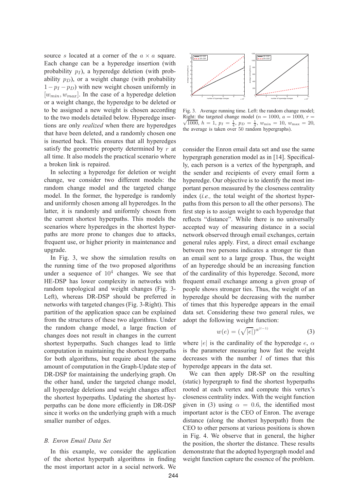source s located at a corner of the  $a \times a$  square. Each change can be a hyperedge insertion (with probability  $p_I$ ), a hyperedge deletion (with probability  $p_D$ ), or a weight change (with probability  $1-p_I - p_D$ ) with new weight chosen uniformly in  $[w_{min}, w_{max}]$ . In the case of a hyperedge deletion or a weight change, the hyperedge to be deleted or to be assigned a new weight is chosen according to the two models detailed below. Hyperedge insertions are only *realized* when there are hyperedges that have been deleted, and a randomly chosen one is inserted back. This ensures that all hyperedges satisfy the geometric property determined by  $r$  at all time. It also models the practical scenario where a broken link is repaired.

In selecting a hyperedge for deletion or weight change, we consider two different models: the random change model and the targeted change model. In the former, the hyperedge is randomly and uniformly chosen among all hyperedges. In the latter, it is randomly and uniformly chosen from the current shortest hyperpaths. This models the scenarios where hyperedges in the shortest hyperpaths are more prone to changes due to attacks, frequent use, or higher priority in maintenance and upgrade.

In Fig. 3, we show the simulation results on the running time of the two proposed algorithms under a sequence of  $10<sup>4</sup>$  changes. We see that HE-DSP has lower complexity in networks with random topological and weight changes (Fig. 3- Left), whereas DR-DSP should be preferred in networks with targeted changes (Fig. 3-Right). This partition of the application space can be explained from the structures of these two algorithms. Under the random change model, a large fraction of changes does not result in changes in the current shortest hyperpaths. Such changes lead to little computation in maintaining the shortest hyperpaths for both algorithms, but require about the same amount of computation in the Graph-Update step of DR-DSP for maintaining the underlying graph. On the other hand, under the targeted change model, all hyperedge deletions and weight changes affect the shortest hyperpaths. Updating the shortest hyperpaths can be done more efficiently in DR-DSP since it works on the underlying graph with a much smaller number of edges.

#### *B. Enron Email Data Set*

In this example, we consider the application of the shortest hyperpath algorithms in finding the most important actor in a social network. We



Fig. 3. Average running time. Left: the random change model; Right: the targeted change model ( $n = 1000$ ,  $a = 1000$ ,  $r =$ Right: the targeted change model  $(n = 1000, a = 1000, r = \sqrt{1000}, h = 1, p_I = \frac{1}{4}, p_I = \frac{1}{4}, w_{\text{min}} = 10, w_{\text{max}} = 20,$ the average is taken over 50 random hypergraphs).

consider the Enron email data set and use the same hypergraph generation model as in [14]. Specifically, each person is a vertex of the hypergraph, and the sender and recipients of every email form a hyperedge. Our objective is to identify the most important person measured by the closeness centrality index (*i.e.,* the total weight of the shortest hyperpaths from this person to all the other persons). The first step is to assign weight to each hyperedge that reflects "distance". While there is no universally accepted way of measuring distance in a social network observed through email exchanges, certain general rules apply. First, a direct email exchange between two persons indicates a stronger tie than an email sent to a large group. Thus, the weight of an hyperedge should be an increasing function of the cardinality of this hyperedge. Second, more frequent email exchange among a given group of people shows stronger ties. Thus, the weight of an hyperedge should be decreasing with the number of times that this hyperedge appears in the email data set. Considering these two general rules, we adopt the following weight function:

$$
w(e) = (\sqrt{|e|})^{\alpha^{(l-1)}} \tag{3}
$$

where |e| is the cardinality of the hyperedge  $e, \alpha$ is the parameter measuring how fast the weight decreases with the number  $l$  of times that this hyperedge appears in the data set.

We can then apply DR-SP on the resulting (static) hypergraph to find the shortest hyperpaths rooted at each vertex and compute this vertex's closeness centrality index. With the weight function given in (3) using  $\alpha = 0.6$ , the identified most important actor is the CEO of Enron. The average distance (along the shortest hyperpath) from the CEO to other persons at various positions is shown in Fig. 4. We observe that in general, the higher the position, the shorter the distance. These results demonstrate that the adopted hypergraph model and weight function capture the essence of the problem.